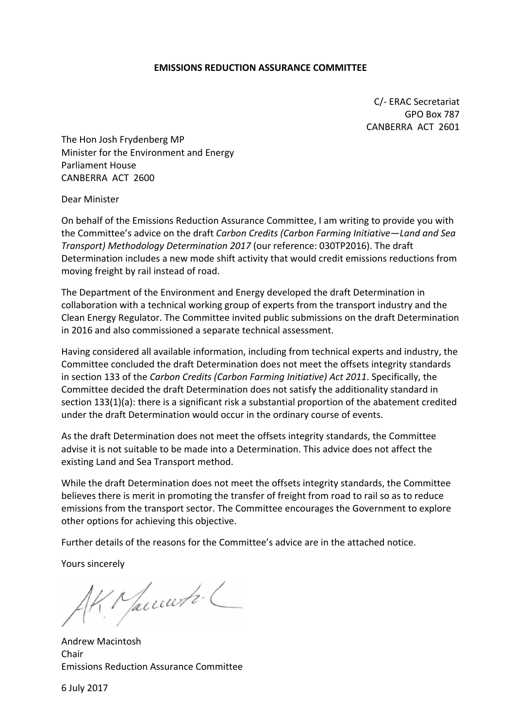#### **EMISSIONS REDUCTION ASSURANCE COMMITTEE**

C/- ERAC Secretariat GPO Box 787 CANBERRA ACT 2601

The Hon Josh Frydenberg MP Minister for the Environment and Energy Parliament House CANBERRA ACT 2600

Dear Minister

On behalf of the Emissions Reduction Assurance Committee, I am writing to provide you with the Committee's advice on the draft *Carbon Credits (Carbon Farming Initiative—Land and Sea Transport) Methodology Determination 2017* (our reference: 030TP2016). The draft Determination includes a new mode shift activity that would credit emissions reductions from moving freight by rail instead of road.

The Department of the Environment and Energy developed the draft Determination in collaboration with a technical working group of experts from the transport industry and the Clean Energy Regulator. The Committee invited public submissions on the draft Determination in 2016 and also commissioned a separate technical assessment.

Having considered all available information, including from technical experts and industry, the Committee concluded the draft Determination does not meet the offsets integrity standards in section 133 of the *Carbon Credits (Carbon Farming Initiative) Act 2011*. Specifically, the Committee decided the draft Determination does not satisfy the additionality standard in section 133(1)(a): there is a significant risk a substantial proportion of the abatement credited under the draft Determination would occur in the ordinary course of events.

As the draft Determination does not meet the offsets integrity standards, the Committee advise it is not suitable to be made into a Determination. This advice does not affect the existing Land and Sea Transport method.

While the draft Determination does not meet the offsets integrity standards, the Committee believes there is merit in promoting the transfer of freight from road to rail so as to reduce emissions from the transport sector. The Committee encourages the Government to explore other options for achieving this objective.

Further details of the reasons for the Committee's advice are in the attached notice.

Yours sincerely

Macunto L

Andrew Macintosh Chair Emissions Reduction Assurance Committee

6 July 2017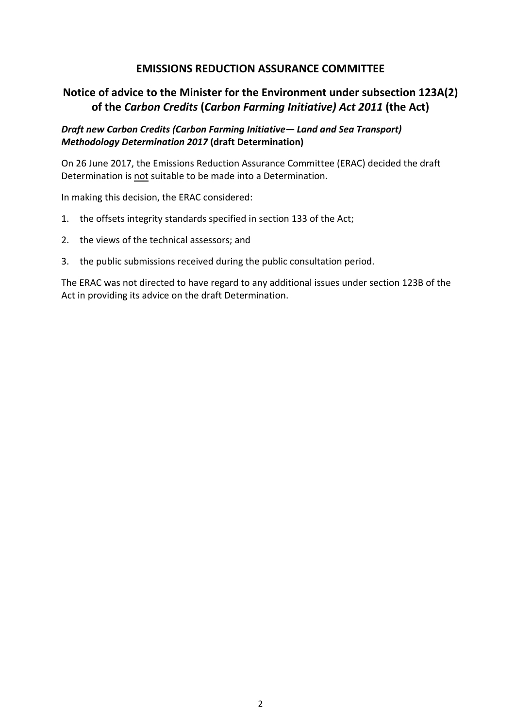## **EMISSIONS REDUCTION ASSURANCE COMMITTEE**

# **Notice of advice to the Minister for the Environment under subsection 123A(2) of the** *Carbon Credits* **(***Carbon Farming Initiative) Act 2011* **(the Act)**

## *Draft new Carbon Credits (Carbon Farming Initiative— Land and Sea Transport) Methodology Determination 2017* **(draft Determination)**

On 26 June 2017, the Emissions Reduction Assurance Committee (ERAC) decided the draft Determination is not suitable to be made into a Determination.

In making this decision, the ERAC considered:

- 1. the offsets integrity standards specified in section 133 of the Act;
- 2. the views of the technical assessors; and
- 3. the public submissions received during the public consultation period.

The ERAC was not directed to have regard to any additional issues under section 123B of the Act in providing its advice on the draft Determination.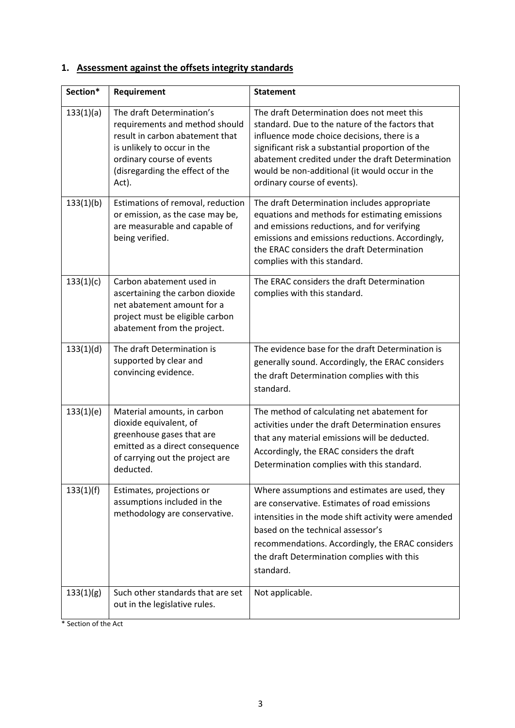# **1. Assessment against the offsets integrity standards**

| Section*  | Requirement                                                                                                                                                                                            | <b>Statement</b>                                                                                                                                                                                                                                                                                                                      |
|-----------|--------------------------------------------------------------------------------------------------------------------------------------------------------------------------------------------------------|---------------------------------------------------------------------------------------------------------------------------------------------------------------------------------------------------------------------------------------------------------------------------------------------------------------------------------------|
| 133(1)(a) | The draft Determination's<br>requirements and method should<br>result in carbon abatement that<br>is unlikely to occur in the<br>ordinary course of events<br>(disregarding the effect of the<br>Act). | The draft Determination does not meet this<br>standard. Due to the nature of the factors that<br>influence mode choice decisions, there is a<br>significant risk a substantial proportion of the<br>abatement credited under the draft Determination<br>would be non-additional (it would occur in the<br>ordinary course of events). |
| 133(1)(b) | Estimations of removal, reduction<br>or emission, as the case may be,<br>are measurable and capable of<br>being verified.                                                                              | The draft Determination includes appropriate<br>equations and methods for estimating emissions<br>and emissions reductions, and for verifying<br>emissions and emissions reductions. Accordingly,<br>the ERAC considers the draft Determination<br>complies with this standard.                                                       |
| 133(1)(c) | Carbon abatement used in<br>ascertaining the carbon dioxide<br>net abatement amount for a<br>project must be eligible carbon<br>abatement from the project.                                            | The ERAC considers the draft Determination<br>complies with this standard.                                                                                                                                                                                                                                                            |
| 133(1)(d) | The draft Determination is<br>supported by clear and<br>convincing evidence.                                                                                                                           | The evidence base for the draft Determination is<br>generally sound. Accordingly, the ERAC considers<br>the draft Determination complies with this<br>standard.                                                                                                                                                                       |
| 133(1)(e) | Material amounts, in carbon<br>dioxide equivalent, of<br>greenhouse gases that are<br>emitted as a direct consequence<br>of carrying out the project are<br>deducted.                                  | The method of calculating net abatement for<br>activities under the draft Determination ensures<br>that any material emissions will be deducted.<br>Accordingly, the ERAC considers the draft<br>Determination complies with this standard.                                                                                           |
| 133(1)(f) | Estimates, projections or<br>assumptions included in the<br>methodology are conservative.                                                                                                              | Where assumptions and estimates are used, they<br>are conservative. Estimates of road emissions<br>intensities in the mode shift activity were amended<br>based on the technical assessor's<br>recommendations. Accordingly, the ERAC considers<br>the draft Determination complies with this<br>standard.                            |
| 133(1)(g) | Such other standards that are set<br>out in the legislative rules.                                                                                                                                     | Not applicable.                                                                                                                                                                                                                                                                                                                       |

\* Section of the Act